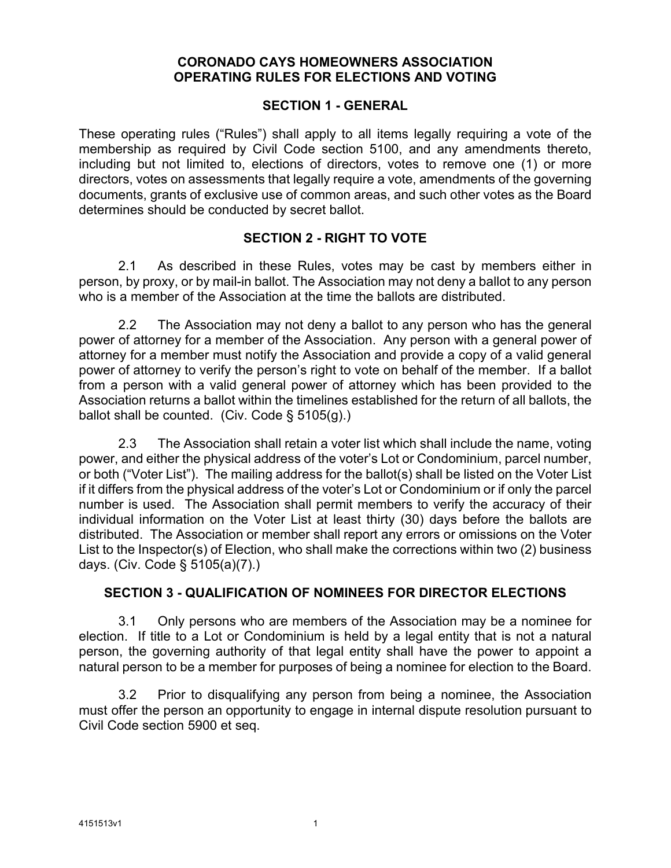### **CORONADO CAYS HOMEOWNERS ASSOCIATION OPERATING RULES FOR ELECTIONS AND VOTING**

#### **SECTION 1 - GENERAL**

These operating rules ("Rules") shall apply to all items legally requiring a vote of the membership as required by Civil Code section 5100, and any amendments thereto, including but not limited to, elections of directors, votes to remove one (1) or more directors, votes on assessments that legally require a vote, amendments of the governing documents, grants of exclusive use of common areas, and such other votes as the Board determines should be conducted by secret ballot.

### **SECTION 2 - RIGHT TO VOTE**

2.1 As described in these Rules, votes may be cast by members either in person, by proxy, or by mail-in ballot. The Association may not deny a ballot to any person who is a member of the Association at the time the ballots are distributed.

2.2 The Association may not deny a ballot to any person who has the general power of attorney for a member of the Association. Any person with a general power of attorney for a member must notify the Association and provide a copy of a valid general power of attorney to verify the person's right to vote on behalf of the member. If a ballot from a person with a valid general power of attorney which has been provided to the Association returns a ballot within the timelines established for the return of all ballots, the ballot shall be counted. (Civ. Code § 5105(g).)

2.3 The Association shall retain a voter list which shall include the name, voting power, and either the physical address of the voter's Lot or Condominium, parcel number, or both ("Voter List"). The mailing address for the ballot(s) shall be listed on the Voter List if it differs from the physical address of the voter's Lot or Condominium or if only the parcel number is used. The Association shall permit members to verify the accuracy of their individual information on the Voter List at least thirty (30) days before the ballots are distributed. The Association or member shall report any errors or omissions on the Voter List to the Inspector(s) of Election, who shall make the corrections within two (2) business days. (Civ. Code § 5105(a)(7).)

### **SECTION 3 - QUALIFICATION OF NOMINEES FOR DIRECTOR ELECTIONS**

3.1 Only persons who are members of the Association may be a nominee for election. If title to a Lot or Condominium is held by a legal entity that is not a natural person, the governing authority of that legal entity shall have the power to appoint a natural person to be a member for purposes of being a nominee for election to the Board.

3.2 Prior to disqualifying any person from being a nominee, the Association must offer the person an opportunity to engage in internal dispute resolution pursuant to Civil Code section 5900 et seq.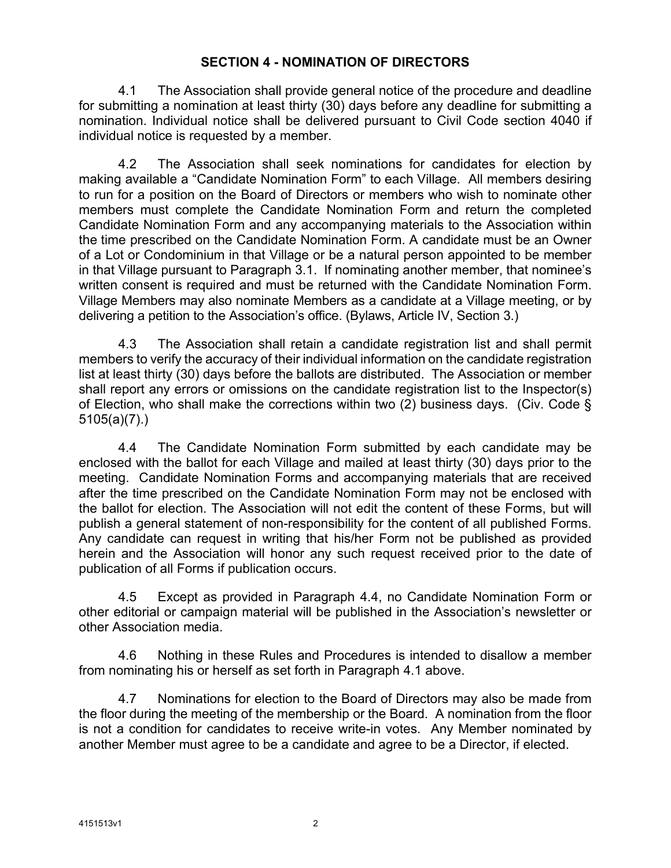### <span id="page-1-1"></span>**SECTION 4 - NOMINATION OF DIRECTORS**

4.1 The Association shall provide general notice of the procedure and deadline for submitting a nomination at least thirty (30) days before any deadline for submitting a nomination. Individual notice shall be delivered pursuant to Civil Code section 4040 if individual notice is requested by a member.

4.2 The Association shall seek nominations for candidates for election by making available a "Candidate Nomination Form" to each Village. All members desiring to run for a position on the Board of Directors or members who wish to nominate other members must complete the Candidate Nomination Form and return the completed Candidate Nomination Form and any accompanying materials to the Association within the time prescribed on the Candidate Nomination Form. A candidate must be an Owner of a Lot or Condominium in that Village or be a natural person appointed to be member in that Village pursuant to Paragraph 3.1. If nominating another member, that nominee's written consent is required and must be returned with the Candidate Nomination Form. Village Members may also nominate Members as a candidate at a Village meeting, or by delivering a petition to the Association's office. (Bylaws, Article IV, Section 3.)

4.3 The Association shall retain a candidate registration list and shall permit members to verify the accuracy of their individual information on the candidate registration list at least thirty (30) days before the ballots are distributed. The Association or member shall report any errors or omissions on the candidate registration list to the Inspector(s) of Election, who shall make the corrections within two (2) business days. (Civ. Code § 5105(a)(7).)

<span id="page-1-0"></span>4.4 The Candidate Nomination Form submitted by each candidate may be enclosed with the ballot for each Village and mailed at least thirty (30) days prior to the meeting. Candidate Nomination Forms and accompanying materials that are received after the time prescribed on the Candidate Nomination Form may not be enclosed with the ballot for election. The Association will not edit the content of these Forms, but will publish a general statement of non-responsibility for the content of all published Forms. Any candidate can request in writing that his/her Form not be published as provided herein and the Association will honor any such request received prior to the date of publication of all Forms if publication occurs.

4.5 Except as provided in Paragr[aph](#page-1-0) 4.4, no Candidate Nomination Form or other editorial or campaign material will be published in the Association's newsletter or other Association media.

4.6 Nothing in these Rules and Procedures is intended to disallow a member from nominating his or herself as set forth in Paragraph [4.1](#page-1-1) above.

4.7 Nominations for election to the Board of Directors may also be made from the floor during the meeting of the membership or the Board. A nomination from the floor is not a condition for candidates to receive write-in votes. Any Member nominated by another Member must agree to be a candidate and agree to be a Director, if elected.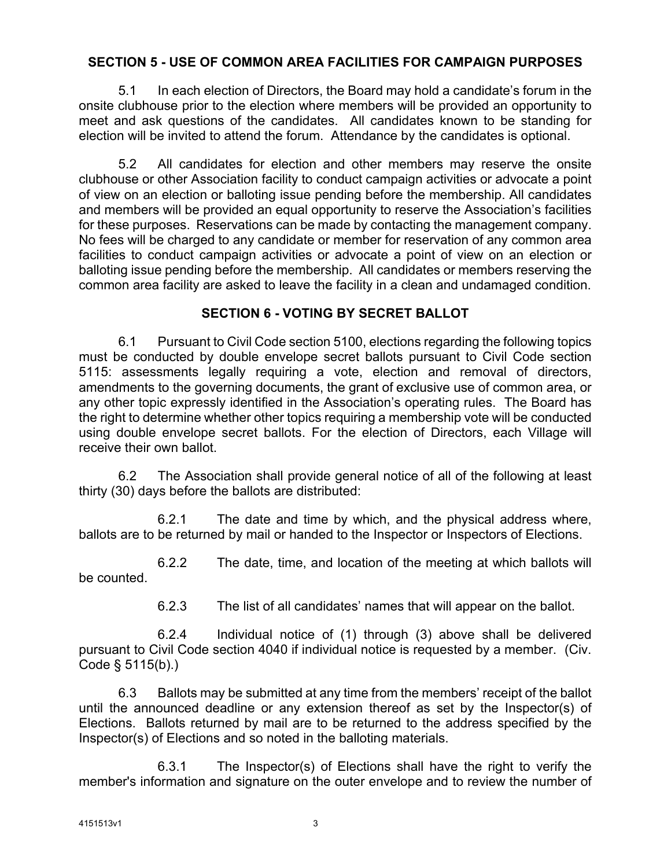## **SECTION 5 - USE OF COMMON AREA FACILITIES FOR CAMPAIGN PURPOSES**

5.1 In each election of Directors, the Board may hold a candidate's forum in the onsite clubhouse prior to the election where members will be provided an opportunity to meet and ask questions of the candidates. All candidates known to be standing for election will be invited to attend the forum. Attendance by the candidates is optional.

5.2 All candidates for election and other members may reserve the onsite clubhouse or other Association facility to conduct campaign activities or advocate a point of view on an election or balloting issue pending before the membership. All candidates and members will be provided an equal opportunity to reserve the Association's facilities for these purposes. Reservations can be made by contacting the management company. No fees will be charged to any candidate or member for reservation of any common area facilities to conduct campaign activities or advocate a point of view on an election or balloting issue pending before the membership. All candidates or members reserving the common area facility are asked to leave the facility in a clean and undamaged condition.

## **SECTION 6 - VOTING BY SECRET BALLOT**

6.1 Pursuant to Civil Code section 5100, elections regarding the following topics must be conducted by double envelope secret ballots pursuant to Civil Code section 5115: assessments legally requiring a vote, election and removal of directors, amendments to the governing documents, the grant of exclusive use of common area, or any other topic expressly identified in the Association's operating rules. The Board has the right to determine whether other topics requiring a membership vote will be conducted using double envelope secret ballots. For the election of Directors, each Village will receive their own ballot.

6.2 The Association shall provide general notice of all of the following at least thirty (30) days before the ballots are distributed:

6.2.1 The date and time by which, and the physical address where, ballots are to be returned by mail or handed to the Inspector or Inspectors of Elections.

6.2.2 The date, time, and location of the meeting at which ballots will be counted.

6.2.3 The list of all candidates' names that will appear on the ballot.

6.2.4 Individual notice of (1) through (3) above shall be delivered pursuant to Civil Code section 4040 if individual notice is requested by a member. (Civ. Code § 5115(b).)

6.3 Ballots may be submitted at any time from the members' receipt of the ballot until the announced deadline or any extension thereof as set by the Inspector(s) of Elections. Ballots returned by mail are to be returned to the address specified by the Inspector(s) of Elections and so noted in the balloting materials.

6.3.1 The Inspector(s) of Elections shall have the right to verify the member's information and signature on the outer envelope and to review the number of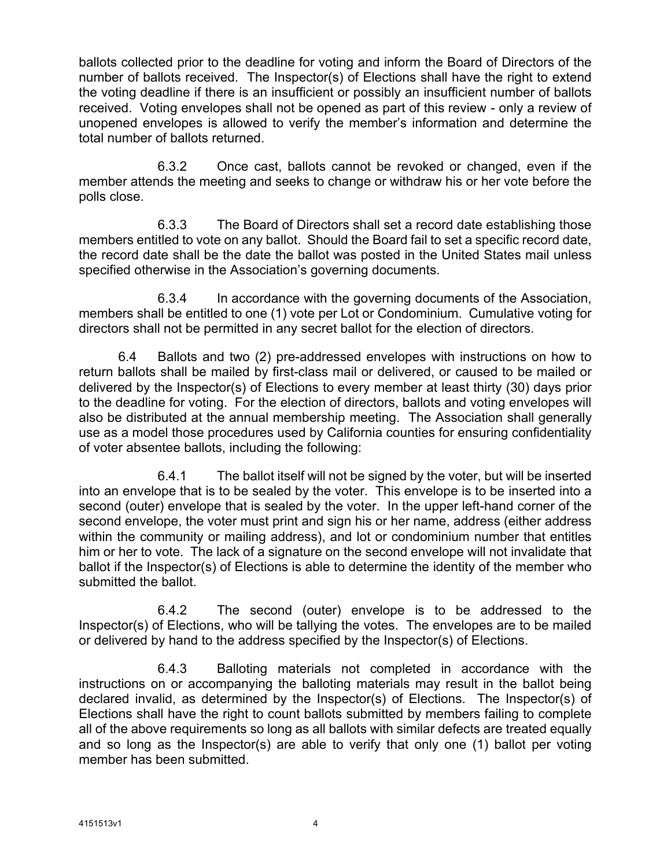ballots collected prior to the deadline for voting and inform the Board of Directors of the number of ballots received. The Inspector(s) of Elections shall have the right to extend the voting deadline if there is an insufficient or possibly an insufficient number of ballots received. Voting envelopes shall not be opened as part of this review - only a review of unopened envelopes is allowed to verify the member's information and determine the total number of ballots returned.

6.3.2 Once cast, ballots cannot be revoked or changed, even if the member attends the meeting and seeks to change or withdraw his or her vote before the polls close.

6.3.3 The Board of Directors shall set a record date establishing those members entitled to vote on any ballot. Should the Board fail to set a specific record date, the record date shall be the date the ballot was posted in the United States mail unless specified otherwise in the Association's governing documents.

6.3.4 In accordance with the governing documents of the Association, members shall be entitled to one (1) vote per Lot or Condominium. Cumulative voting for directors shall not be permitted in any secret ballot for the election of directors.

6.4 Ballots and two (2) pre-addressed envelopes with instructions on how to return ballots shall be mailed by first-class mail or delivered, or caused to be mailed or delivered by the Inspector(s) of Elections to every member at least thirty (30) days prior to the deadline for voting. For the election of directors, ballots and voting envelopes will also be distributed at the annual membership meeting. The Association shall generally use as a model those procedures used by California counties for ensuring confidentiality of voter absentee ballots, including the following:

6.4.1 The ballot itself will not be signed by the voter, but will be inserted into an envelope that is to be sealed by the voter. This envelope is to be inserted into a second (outer) envelope that is sealed by the voter. In the upper left-hand corner of the second envelope, the voter must print and sign his or her name, address (either address within the community or mailing address), and lot or condominium number that entitles him or her to vote. The lack of a signature on the second envelope will not invalidate that ballot if the Inspector(s) of Elections is able to determine the identity of the member who submitted the ballot.

6.4.2 The second (outer) envelope is to be addressed to the Inspector(s) of Elections, who will be tallying the votes. The envelopes are to be mailed or delivered by hand to the address specified by the Inspector(s) of Elections.

6.4.3 Balloting materials not completed in accordance with the instructions on or accompanying the balloting materials may result in the ballot being declared invalid, as determined by the Inspector(s) of Elections. The Inspector(s) of Elections shall have the right to count ballots submitted by members failing to complete all of the above requirements so long as all ballots with similar defects are treated equally and so long as the Inspector(s) are able to verify that only one (1) ballot per voting member has been submitted.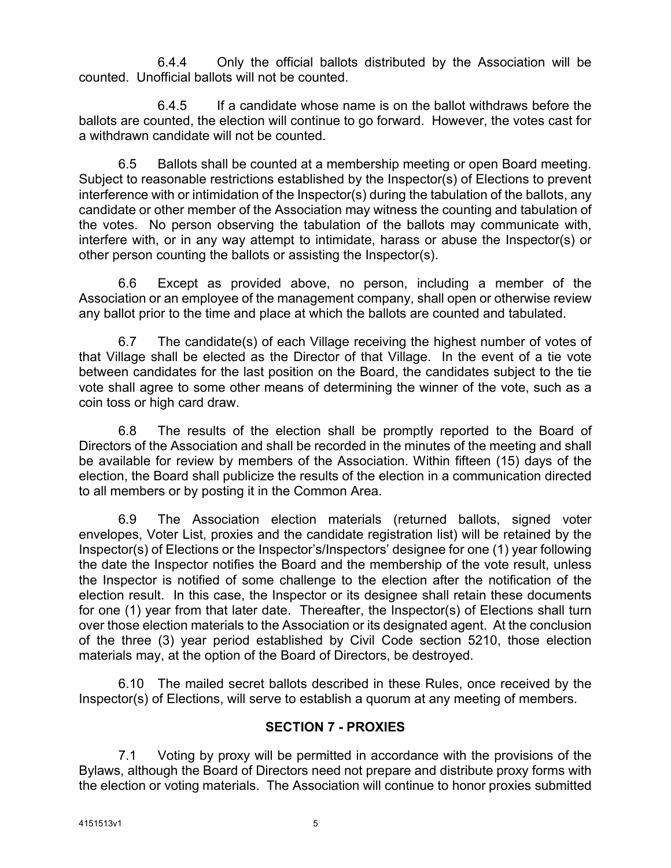6.4.4 Only the official ballots distributed by the Association will be counted. Unofficial ballots will not be counted.

6.4.5 If a candidate whose name is on the ballot withdraws before the ballots are counted, the election will continue to go forward. However, the votes cast for a withdrawn candidate will not be counted.

6.5 Ballots shall be counted at a membership meeting or open Board meeting. Subject to reasonable restrictions established by the Inspector(s) of Elections to prevent interference with or intimidation of the Inspector(s) during the tabulation of the ballots, any candidate or other member of the Association may witness the counting and tabulation of the votes. No person observing the tabulation of the ballots may communicate with, interfere with, or in any way attempt to intimidate, harass or abuse the Inspector(s) or other person counting the ballots or assisting the Inspector(s).

6.6 Except as provided above, no person, including a member of the Association or an employee of the management company, shall open or otherwise review any ballot prior to the time and place at which the ballots are counted and tabulated.

6.7 The candidate(s) of each Village receiving the highest number of votes of that Village shall be elected as the Director of that Village. In the event of a tie vote between candidates for the last position on the Board, the candidates subject to the tie vote shall agree to some other means of determining the winner of the vote, such as a coin toss or high card draw.

6.8 The results of the election shall be promptly reported to the Board of Directors of the Association and shall be recorded in the minutes of the meeting and shall be available for review by members of the Association. Within fifteen (15) days of the election, the Board shall publicize the results of the election in a communication directed to all members or by posting it in the Common Area.

6.9 The Association election materials (returned ballots, signed voter envelopes, Voter List, proxies and the candidate registration list) will be retained by the Inspector(s) of Elections or the Inspector's/Inspectors' designee for one (1) year following the date the Inspector notifies the Board and the membership of the vote result, unless the Inspector is notified of some challenge to the election after the notification of the election result. In this case, the Inspector or its designee shall retain these documents for one (1) year from that later date. Thereafter, the Inspector(s) of Elections shall turn over those election materials to the Association or its designated agent. At the conclusion of the three (3) year period established by Civil Code section 5210, those election materials may, at the option of the Board of Directors, be destroyed.

6.10 The mailed secret ballots described in these Rules, once received by the Inspector(s) of Elections, will serve to establish a quorum at any meeting of members.

# **SECTION 7 - PROXIES**

7.1 Voting by proxy will be permitted in accordance with the provisions of the Bylaws, although the Board of Directors need not prepare and distribute proxy forms with the election or voting materials. The Association will continue to honor proxies submitted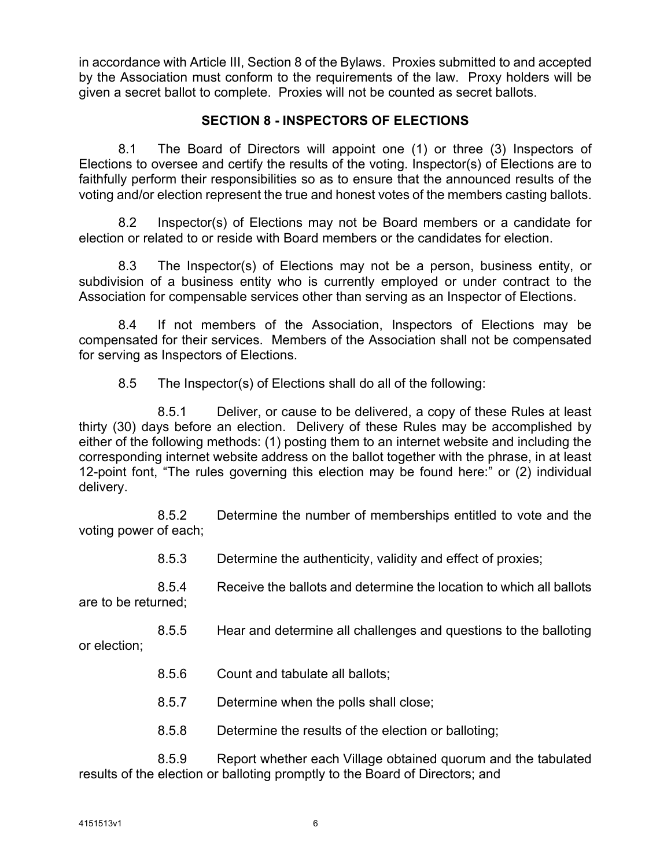in accordance with Article III, Section 8 of the Bylaws. Proxies submitted to and accepted by the Association must conform to the requirements of the law. Proxy holders will be given a secret ballot to complete. Proxies will not be counted as secret ballots.

## **SECTION 8 - INSPECTORS OF ELECTIONS**

8.1 The Board of Directors will appoint one (1) or three (3) Inspectors of Elections to oversee and certify the results of the voting. Inspector(s) of Elections are to faithfully perform their responsibilities so as to ensure that the announced results of the voting and/or election represent the true and honest votes of the members casting ballots.

8.2 Inspector(s) of Elections may not be Board members or a candidate for election or related to or reside with Board members or the candidates for election.

8.3 The Inspector(s) of Elections may not be a person, business entity, or subdivision of a business entity who is currently employed or under contract to the Association for compensable services other than serving as an Inspector of Elections.

8.4 If not members of the Association, Inspectors of Elections may be compensated for their services. Members of the Association shall not be compensated for serving as Inspectors of Elections.

8.5 The Inspector(s) of Elections shall do all of the following:

8.5.1 Deliver, or cause to be delivered, a copy of these Rules at least thirty (30) days before an election. Delivery of these Rules may be accomplished by either of the following methods: (1) posting them to an internet website and including the corresponding internet website address on the ballot together with the phrase, in at least 12-point font, "The rules governing this election may be found here:" or (2) individual delivery.

8.5.2 Determine the number of memberships entitled to vote and the voting power of each;

8.5.3 Determine the authenticity, validity and effect of proxies;

8.5.4 Receive the ballots and determine the location to which all ballots are to be returned;

8.5.5 Hear and determine all challenges and questions to the balloting or election;

- 8.5.6 Count and tabulate all ballots;
- 8.5.7 Determine when the polls shall close;
- 8.5.8 Determine the results of the election or balloting;

8.5.9 Report whether each Village obtained quorum and the tabulated results of the election or balloting promptly to the Board of Directors; and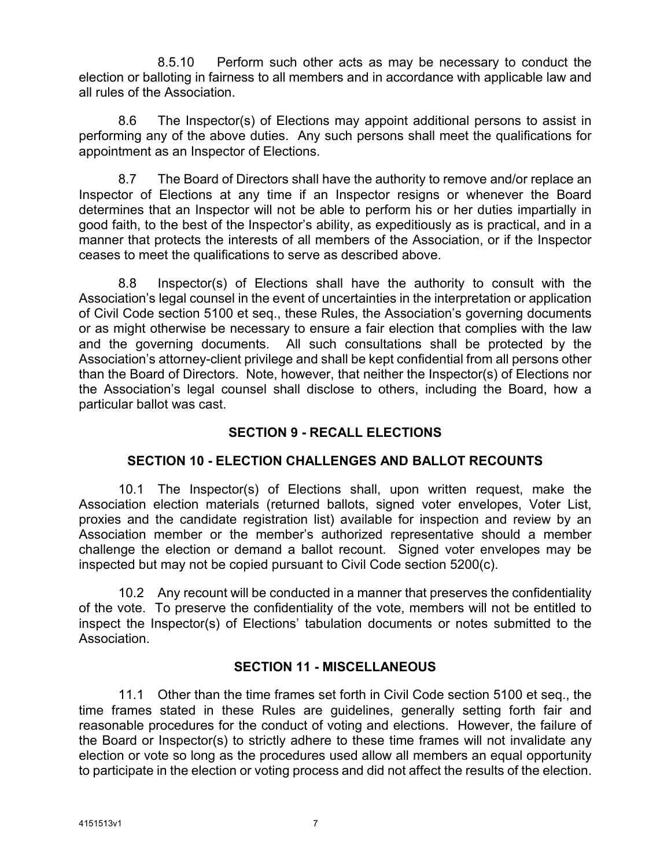8.5.10 Perform such other acts as may be necessary to conduct the election or balloting in fairness to all members and in accordance with applicable law and all rules of the Association.

8.6 The Inspector(s) of Elections may appoint additional persons to assist in performing any of the above duties. Any such persons shall meet the qualifications for appointment as an Inspector of Elections.

8.7 The Board of Directors shall have the authority to remove and/or replace an Inspector of Elections at any time if an Inspector resigns or whenever the Board determines that an Inspector will not be able to perform his or her duties impartially in good faith, to the best of the Inspector's ability, as expeditiously as is practical, and in a manner that protects the interests of all members of the Association, or if the Inspector ceases to meet the qualifications to serve as described above.

8.8 Inspector(s) of Elections shall have the authority to consult with the Association's legal counsel in the event of uncertainties in the interpretation or application of Civil Code section 5100 et seq., these Rules, the Association's governing documents or as might otherwise be necessary to ensure a fair election that complies with the law and the governing documents. All such consultations shall be protected by the Association's attorney-client privilege and shall be kept confidential from all persons other than the Board of Directors. Note, however, that neither the Inspector(s) of Elections nor the Association's legal counsel shall disclose to others, including the Board, how a particular ballot was cast.

# **SECTION 9 - RECALL ELECTIONS**

# **SECTION 10 - ELECTION CHALLENGES AND BALLOT RECOUNTS**

10.1 The Inspector(s) of Elections shall, upon written request, make the Association election materials (returned ballots, signed voter envelopes, Voter List, proxies and the candidate registration list) available for inspection and review by an Association member or the member's authorized representative should a member challenge the election or demand a ballot recount. Signed voter envelopes may be inspected but may not be copied pursuant to Civil Code section 5200(c).

10.2 Any recount will be conducted in a manner that preserves the confidentiality of the vote. To preserve the confidentiality of the vote, members will not be entitled to inspect the Inspector(s) of Elections' tabulation documents or notes submitted to the Association.

### **SECTION 11 - MISCELLANEOUS**

11.1 Other than the time frames set forth in Civil Code section 5100 et seq., the time frames stated in these Rules are guidelines, generally setting forth fair and reasonable procedures for the conduct of voting and elections. However, the failure of the Board or Inspector(s) to strictly adhere to these time frames will not invalidate any election or vote so long as the procedures used allow all members an equal opportunity to participate in the election or voting process and did not affect the results of the election.